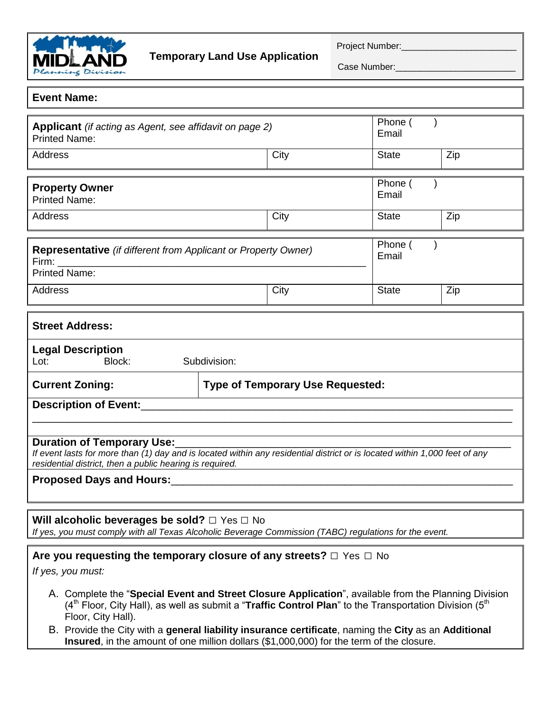

Case Number:

## **Event Name:**

| <b>Applicant</b> (if acting as Agent, see affidavit on page 2)<br><b>Printed Name:</b>                                                                                                                                      |                                         |       | Phone (<br>Email |     |  |
|-----------------------------------------------------------------------------------------------------------------------------------------------------------------------------------------------------------------------------|-----------------------------------------|-------|------------------|-----|--|
| Address                                                                                                                                                                                                                     |                                         | City  | <b>State</b>     | Zip |  |
|                                                                                                                                                                                                                             |                                         |       |                  |     |  |
| <b>Property Owner</b>                                                                                                                                                                                                       |                                         |       | Phone (          |     |  |
| <b>Printed Name:</b>                                                                                                                                                                                                        |                                         | Email |                  |     |  |
| Address                                                                                                                                                                                                                     |                                         | City  | <b>State</b>     | Zip |  |
|                                                                                                                                                                                                                             |                                         |       | Phone (          |     |  |
| <b>Representative</b> (if different from Applicant or Property Owner)                                                                                                                                                       |                                         |       |                  |     |  |
| Firm:<br><u> 1980 - Andrea Andrewski, fransk politik (d. 1980)</u>                                                                                                                                                          |                                         |       | Email            |     |  |
| <b>Printed Name:</b>                                                                                                                                                                                                        |                                         |       |                  |     |  |
| Address                                                                                                                                                                                                                     |                                         | City  | <b>State</b>     | Zip |  |
|                                                                                                                                                                                                                             |                                         |       |                  |     |  |
| <b>Street Address:</b>                                                                                                                                                                                                      |                                         |       |                  |     |  |
| <b>Legal Description</b>                                                                                                                                                                                                    |                                         |       |                  |     |  |
| Block:<br>Lot:                                                                                                                                                                                                              | Subdivision:                            |       |                  |     |  |
| <b>Current Zoning:</b>                                                                                                                                                                                                      | <b>Type of Temporary Use Requested:</b> |       |                  |     |  |
| <b>Description of Event:</b>                                                                                                                                                                                                |                                         |       |                  |     |  |
|                                                                                                                                                                                                                             |                                         |       |                  |     |  |
|                                                                                                                                                                                                                             |                                         |       |                  |     |  |
| <b>Duration of Temporary Use:</b><br>If event lasts for more than (1) day and is located within any residential district or is located within 1,000 feet of any<br>residential district, then a public hearing is required. |                                         |       |                  |     |  |
| Proposed Days and Hours: 1990 1990                                                                                                                                                                                          |                                         |       |                  |     |  |
|                                                                                                                                                                                                                             |                                         |       |                  |     |  |
|                                                                                                                                                                                                                             |                                         |       |                  |     |  |
| Will alcoholic beverages be sold? $\Box$ Yes $\Box$ No                                                                                                                                                                      |                                         |       |                  |     |  |
| If yes, you must comply with all Texas Alcoholic Beverage Commission (TABC) regulations for the event.                                                                                                                      |                                         |       |                  |     |  |
| Are you requesting the temporary closure of any streets? $\Box$ Yes $\Box$ No                                                                                                                                               |                                         |       |                  |     |  |
| If yes, you must:                                                                                                                                                                                                           |                                         |       |                  |     |  |
|                                                                                                                                                                                                                             |                                         |       |                  |     |  |
| A. Complete the "Special Event and Street Closure Application", available from the Planning Division                                                                                                                        |                                         |       |                  |     |  |

- (4<sup>th</sup> Floor, City Hall), as well as submit a "**Traffic Control Plan**" to the Transportation Division (5<sup>th</sup>) Floor, City Hall).
- B. Provide the City with a **general liability insurance certificate**, naming the **City** as an **Additional Insured**, in the amount of one million dollars (\$1,000,000) for the term of the closure.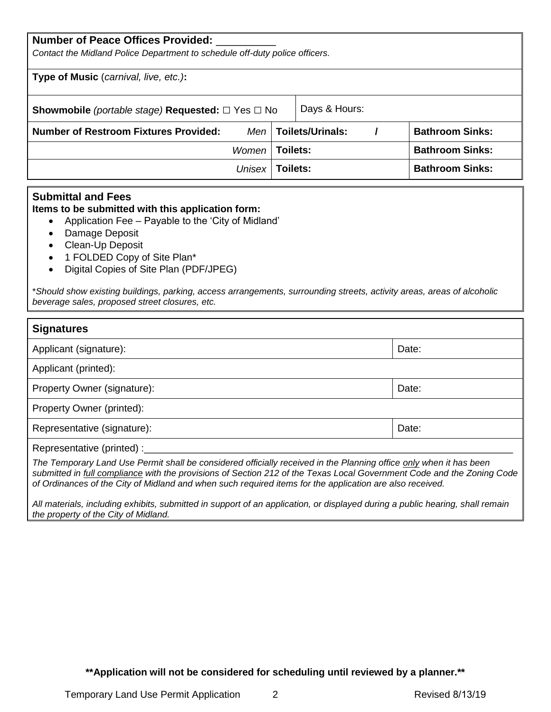| <b>Number of Peace Offices Provided:</b>                                                   |                          |                        |  |  |  |
|--------------------------------------------------------------------------------------------|--------------------------|------------------------|--|--|--|
| Contact the Midland Police Department to schedule off-duty police officers.                |                          |                        |  |  |  |
| Type of Music (carnival, live, etc.):                                                      |                          |                        |  |  |  |
| Days & Hours:<br><b>Showmobile</b> (portable stage) <b>Requested:</b> $\Box$ Yes $\Box$ No |                          |                        |  |  |  |
| <b>Number of Restroom Fixtures Provided:</b>                                               | $Men$   Toilets/Urinals: | <b>Bathroom Sinks:</b> |  |  |  |
| Women                                                                                      | Toilets:                 | <b>Bathroom Sinks:</b> |  |  |  |
| Unisex                                                                                     | Toilets:                 | <b>Bathroom Sinks:</b> |  |  |  |

## **Submittal and Fees**

**Items to be submitted with this application form:**

- Application Fee Payable to the 'City of Midland'
- Damage Deposit
- Clean-Up Deposit
- 1 FOLDED Copy of Site Plan\*
- Digital Copies of Site Plan (PDF/JPEG)

\**Should show existing buildings, parking, access arrangements, surrounding streets, activity areas, areas of alcoholic beverage sales, proposed street closures, etc.*

| <b>Signatures</b>                                                                                                                                                                                                                                                                                                                                                                       |       |  |
|-----------------------------------------------------------------------------------------------------------------------------------------------------------------------------------------------------------------------------------------------------------------------------------------------------------------------------------------------------------------------------------------|-------|--|
| Applicant (signature):                                                                                                                                                                                                                                                                                                                                                                  | Date: |  |
| Applicant (printed):                                                                                                                                                                                                                                                                                                                                                                    |       |  |
| Property Owner (signature):                                                                                                                                                                                                                                                                                                                                                             | Date: |  |
| Property Owner (printed):                                                                                                                                                                                                                                                                                                                                                               |       |  |
| Representative (signature):                                                                                                                                                                                                                                                                                                                                                             | Date: |  |
| Representative (printed) :_<br>The Temporary Land Use Permit shall be considered officially received in the Planning office only when it has been<br>submitted in full compliance with the provisions of Section 212 of the Texas Local Government Code and the Zoning Code<br>of Ordinances of the City of Midland and when such required items for the application are also received. |       |  |

*All materials, including exhibits, submitted in support of an application, or displayed during a public hearing, shall remain the property of the City of Midland.*

**\*\*Application will not be considered for scheduling until reviewed by a planner.\*\***